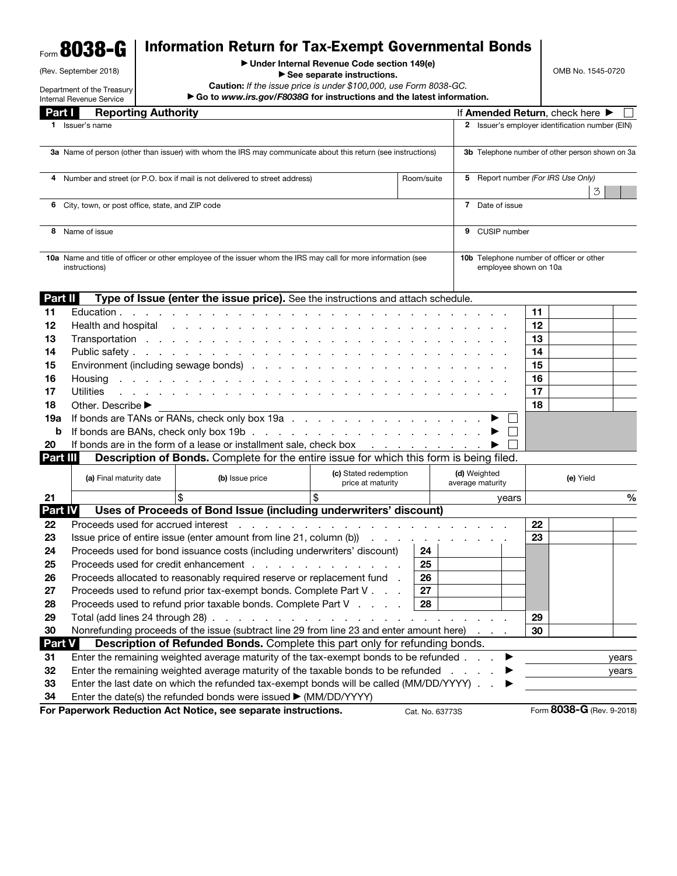## Form 8038-G Information Return for Tax-Exempt Governmental Bonds

| (Rev. September 2018) |  |
|-----------------------|--|

▶ Under Internal Revenue Code section 149(e)

▶ See separate instructions.

Caution: *If the issue price is under \$100,000, use Form 8038-GC.*

OMB No. 1545-0720

|               | Department of the Treasury<br>Internal Revenue Service                                                                         | <b>Caution:</b> If the issue price is under \$100,000, use Form 8038-GC.<br>Go to www.irs.gov/F8038G for instructions and the latest information.                                                                              |                                                                     |    |                                                     |                                                                          |       |  |  |  |
|---------------|--------------------------------------------------------------------------------------------------------------------------------|--------------------------------------------------------------------------------------------------------------------------------------------------------------------------------------------------------------------------------|---------------------------------------------------------------------|----|-----------------------------------------------------|--------------------------------------------------------------------------|-------|--|--|--|
| Part I        | <b>Reporting Authority</b>                                                                                                     |                                                                                                                                                                                                                                |                                                                     |    | If Amended Return, check here $\blacktriangleright$ |                                                                          |       |  |  |  |
| 1.            | Issuer's name                                                                                                                  |                                                                                                                                                                                                                                |                                                                     |    | 2 Issuer's employer identification number (EIN)     |                                                                          |       |  |  |  |
|               | 3a Name of person (other than issuer) with whom the IRS may communicate about this return (see instructions)                   |                                                                                                                                                                                                                                |                                                                     |    |                                                     | 3b Telephone number of other person shown on 3a                          |       |  |  |  |
|               | 4 Number and street (or P.O. box if mail is not delivered to street address)<br>Room/suite                                     |                                                                                                                                                                                                                                |                                                                     |    | 5 Report number (For IRS Use Only)                  |                                                                          |       |  |  |  |
|               | 6 City, town, or post office, state, and ZIP code                                                                              |                                                                                                                                                                                                                                |                                                                     |    | 7 Date of issue                                     | 3                                                                        |       |  |  |  |
|               | 8 Name of issue                                                                                                                |                                                                                                                                                                                                                                |                                                                     |    | 9 CUSIP number                                      |                                                                          |       |  |  |  |
|               | 10a Name and title of officer or other employee of the issuer whom the IRS may call for more information (see<br>instructions) |                                                                                                                                                                                                                                |                                                                     |    |                                                     | <b>10b</b> Telephone number of officer or other<br>employee shown on 10a |       |  |  |  |
| Part II       |                                                                                                                                | Type of Issue (enter the issue price). See the instructions and attach schedule.                                                                                                                                               |                                                                     |    |                                                     |                                                                          |       |  |  |  |
| 11            | Education.                                                                                                                     | and the company of the company of                                                                                                                                                                                              |                                                                     |    |                                                     | 11                                                                       |       |  |  |  |
| 12            | Health and hospital                                                                                                            | the contract of the contract of the contract of the contract of the contract of the contract of the contract of the contract of the contract of the contract of the contract of the contract of the contract of the contract o |                                                                     |    |                                                     | 12                                                                       |       |  |  |  |
| 13            |                                                                                                                                |                                                                                                                                                                                                                                |                                                                     |    |                                                     | 13                                                                       |       |  |  |  |
| 14            |                                                                                                                                |                                                                                                                                                                                                                                |                                                                     |    |                                                     | 14                                                                       |       |  |  |  |
| 15            |                                                                                                                                | Environment (including sewage bonds)                                                                                                                                                                                           |                                                                     |    |                                                     | 15                                                                       |       |  |  |  |
| 16            | Housing                                                                                                                        | the contract of the contract of the contract of                                                                                                                                                                                | the company's company's company's                                   |    |                                                     | 16                                                                       |       |  |  |  |
| 17            | Utilities                                                                                                                      |                                                                                                                                                                                                                                |                                                                     |    |                                                     | 17                                                                       |       |  |  |  |
| 18            | Other. Describe ▶                                                                                                              |                                                                                                                                                                                                                                |                                                                     |    |                                                     | 18                                                                       |       |  |  |  |
| 19a           |                                                                                                                                | If bonds are TANs or RANs, check only box 19a                                                                                                                                                                                  |                                                                     |    |                                                     |                                                                          |       |  |  |  |
| b             |                                                                                                                                |                                                                                                                                                                                                                                |                                                                     |    |                                                     |                                                                          |       |  |  |  |
| 20            |                                                                                                                                | If bonds are in the form of a lease or installment sale, check box                                                                                                                                                             |                                                                     |    |                                                     |                                                                          |       |  |  |  |
| Part III      |                                                                                                                                | <b>Description of Bonds.</b> Complete for the entire issue for which this form is being filed.                                                                                                                                 |                                                                     |    |                                                     |                                                                          |       |  |  |  |
|               | (a) Final maturity date                                                                                                        | (b) Issue price                                                                                                                                                                                                                | (c) Stated redemption<br>price at maturity                          |    | (d) Weighted<br>average maturity                    | (e) Yield                                                                |       |  |  |  |
| 21            |                                                                                                                                |                                                                                                                                                                                                                                | \$                                                                  |    | years                                               |                                                                          | %     |  |  |  |
| Part IV       |                                                                                                                                | Uses of Proceeds of Bond Issue (including underwriters' discount)                                                                                                                                                              |                                                                     |    |                                                     |                                                                          |       |  |  |  |
| 22            | Proceeds used for accrued interest                                                                                             |                                                                                                                                                                                                                                | المنافذ والمستنقل والمستنقل والمستنقل والمستنقل والمستنقل والمستنقل |    |                                                     | 22                                                                       |       |  |  |  |
| 23            |                                                                                                                                | Issue price of entire issue (enter amount from line 21, column $(b)$ ) $\ldots$ $\ldots$ $\ldots$                                                                                                                              |                                                                     |    |                                                     | 23                                                                       |       |  |  |  |
| 24            |                                                                                                                                | Proceeds used for bond issuance costs (including underwriters' discount)                                                                                                                                                       |                                                                     | 24 |                                                     |                                                                          |       |  |  |  |
| 25            |                                                                                                                                | Proceeds used for credit enhancement                                                                                                                                                                                           |                                                                     | 25 |                                                     |                                                                          |       |  |  |  |
| 26            |                                                                                                                                | Proceeds allocated to reasonably required reserve or replacement fund                                                                                                                                                          |                                                                     | 26 |                                                     |                                                                          |       |  |  |  |
| 27            |                                                                                                                                | Proceeds used to refund prior tax-exempt bonds. Complete Part V                                                                                                                                                                |                                                                     | 27 |                                                     |                                                                          |       |  |  |  |
| 28            |                                                                                                                                | Proceeds used to refund prior taxable bonds. Complete Part V                                                                                                                                                                   |                                                                     | 28 |                                                     |                                                                          |       |  |  |  |
| 29            |                                                                                                                                | Total (add lines 24 through 28) $\ldots$ $\ldots$ $\ldots$ $\ldots$ $\ldots$ $\ldots$ $\ldots$ $\ldots$                                                                                                                        |                                                                     |    |                                                     | 29                                                                       |       |  |  |  |
| 30            |                                                                                                                                | Nonrefunding proceeds of the issue (subtract line 29 from line 23 and enter amount here)                                                                                                                                       |                                                                     |    |                                                     | 30                                                                       |       |  |  |  |
| <b>Part V</b> |                                                                                                                                | <b>Description of Refunded Bonds.</b> Complete this part only for refunding bonds.                                                                                                                                             |                                                                     |    |                                                     |                                                                          |       |  |  |  |
| 31            |                                                                                                                                | Enter the remaining weighted average maturity of the tax-exempt bonds to be refunded<br>Enter the remaining weighted average maturity of the taxable bonds to be refunded                                                      |                                                                     |    | ▶                                                   |                                                                          | years |  |  |  |
| 32<br>33      |                                                                                                                                | Enter the last date on which the refunded tax-exempt bonds will be called (MM/DD/YYYY)                                                                                                                                         |                                                                     |    | and a state                                         |                                                                          | years |  |  |  |
| 34            |                                                                                                                                | Enter the date(s) the refunded bonds were issued > (MM/DD/YYYY)                                                                                                                                                                |                                                                     |    |                                                     |                                                                          |       |  |  |  |
|               |                                                                                                                                |                                                                                                                                                                                                                                |                                                                     |    |                                                     |                                                                          |       |  |  |  |

For Paperwork Reduction Act Notice, see separate instructions. Cat. No. 63773S Form 8038-G (Rev. 9-2018)